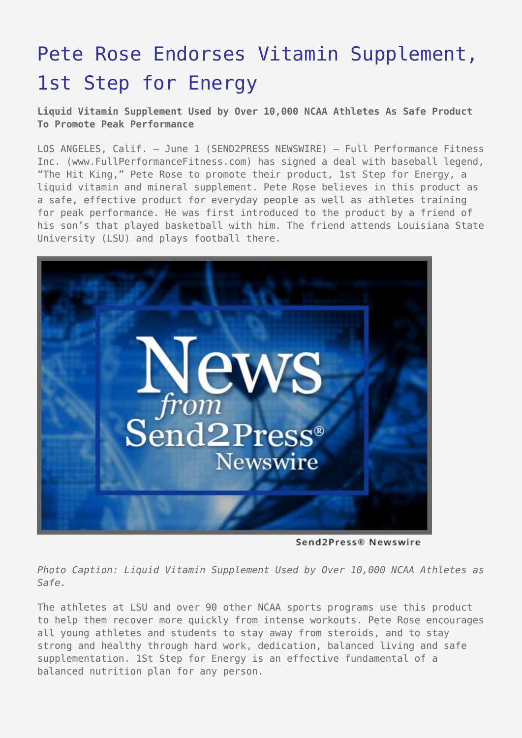## [Pete Rose Endorses Vitamin Supplement,](https://www.send2press.com/wire/2005-06-0601-004/) [1st Step for Energy](https://www.send2press.com/wire/2005-06-0601-004/)

**Liquid Vitamin Supplement Used by Over 10,000 NCAA Athletes As Safe Product To Promote Peak Performance**

LOS ANGELES, Calif. – June 1 (SEND2PRESS NEWSWIRE) — Full Performance Fitness Inc. (www.FullPerformanceFitness.com) has signed a deal with baseball legend, "The Hit King," Pete Rose to promote their product, 1st Step for Energy, a liquid vitamin and mineral supplement. Pete Rose believes in this product as a safe, effective product for everyday people as well as athletes training for peak performance. He was first introduced to the product by a friend of his son's that played basketball with him. The friend attends Louisiana State University (LSU) and plays football there.



Send2Press® Newswire

*Photo Caption: Liquid Vitamin Supplement Used by Over 10,000 NCAA Athletes as Safe.*

The athletes at LSU and over 90 other NCAA sports programs use this product to help them recover more quickly from intense workouts. Pete Rose encourages all young athletes and students to stay away from steroids, and to stay strong and healthy through hard work, dedication, balanced living and safe supplementation. 1St Step for Energy is an effective fundamental of a balanced nutrition plan for any person.